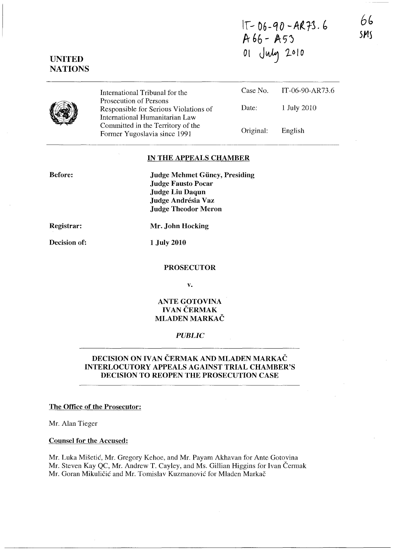**1\- 06-QO** -A~r~· (, **A66 - A,'j <sup>01</sup>**J~ **1***<sup>0</sup>* **<sup>10</sup>**

**6b**  *5MS* 



**UNITED NATIONS** 

> International Tribunal for the Prosecution of Persons Responsible for Serious Violations of International Humanitarian Law Committed in the Territory of the Fonner Yugoslavia since 1991 Case No. IT-06-90-AR73.6 Date: 1 July 2010 Original: English

#### **IN THE APPEALS CHAMBER**

**Before:** 

**Judge Mehmet Giiney, Presiding Judge Fausto Pocar Judge Liu Daqun Judge Andresia Vaz Judge Theodor Meron** 

**Registrar:** 

**Decision of:** 

**Mr. John Hocking** 

**1 July 2010** 

#### **PROSECUTOR**

**v.** 

## **ANTE GOTOVINA IVAN ČERMAK MLADEN MARKAC**

## *PUBLIC*

## **DECISION ON IVAN ČERMAK AND MLADEN MARKAČ INTERLOCUTORY APPEALS AGAINST TRIAL CHAMBER'S DECISION TO REOPEN THE PROSECUTION CASE**

### **The Office of the Prosecutor:**

Mr. Alan Tieger

#### **Counsel for the Accused:**

Mr. Luka Misetic, Mr. Gregory Kehoe, and Mr. Payam Akhavan for Ante Gotovina Mr. Steven Kay QC, Mr. Andrew T. Cayley, and Ms. Gillian Higgins for Ivan Čermak Mr. Goran Mikuličić and Mr. Tomislav Kuzmanović for Mladen Markač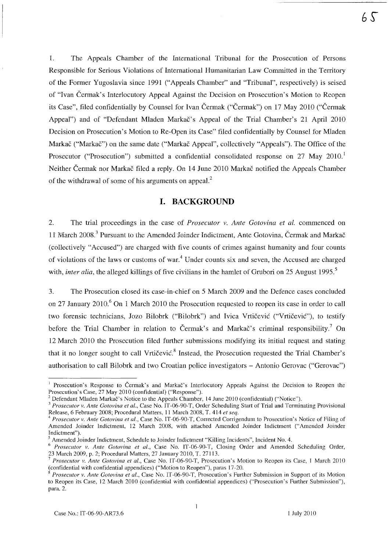$6S$ 

1. The Appeals Chamber of the International Tribunal for the Prosecution of Persons Responsible for Serious Violations of International Humanitarian Law Committed in the Territory of the Former Yugoslavia since 1991 ("Appeals Chamber" and 'Tribunal", respectively) is seised of "Ivan Cermak's Interlocutory Appeal Against the Decision on Prosecution's Motion to Reopen its Case", filed confidentially by Counsel for Ivan Cermak ("Cermak") on 17 May 2010 ("Cermak Appeal") and of "Defendant Mladen Markac's Appeal of the Trial Chamber's 21 April 2010 Decision on Prosecution's Motion to Rc-Open its Case" filed confidentially by Counsel for Mladen Markač ("Markač") on the same date ("Markač Appeal", collectively "Appeals"). The Office of the Prosecutor ("Prosecution") submitted a confidential consolidated response on 27 May 2010. Neither Cermak nor Markac filed a reply. On 14 June 2010 Markac notified the Appeals Chamber of the withdrawal of some of his arguments on appeal?

## **I. BACKGROUND**

2. The trial proceedings in the case of *Prosecutor v. Ante Gotovina et al.* commenced on 11 March 2008.<sup>3</sup> Pursuant to the Amended Joinder Indictment, Ante Gotovina, Čermak and Markač (collectively "Accused") are charged with five counts of crimes against humanity and four counts of violations of the laws or customs of war.<sup>4</sup> Under counts six and seven, the Accused are charged with, *inter alia*, the alleged killings of five civilians in the hamlet of Grubori on 25 August 1995.<sup>5</sup>

3. The Prosecution closed its case-in-chief on 5 March 2009 and the Defence cases concluded on 27 January 2010.<sup>6</sup> On 1 March 2010 the Prosecution requested to reopen its case in order to call two forensic technicians, Jozo Bilobrk ("Bilobrk") and Ivica Vrtičević ("Vrtičević"), to testify before the Trial Chamber in relation to Čermak's and Markač's criminal responsibility.<sup>7</sup> On 12 March 2010 the Prosecution filed further submissions modifying its initial request and stating that it no longer sought to call Vrtičević.<sup>8</sup> Instead, the Prosecution requested the Trial Chamber's authorisation to call Bilobrk and two Croatian police investigators - Antonio Gerovac ("Gerovac")

<sup>&</sup>lt;sup>1</sup> Prosecution's Response to Čermak's and Markač's Interlocutory Appeals Against the Decision to Reopen the Prosecution's Case, 27 May 2010 (confidential) ("Response").

<sup>&</sup>lt;sup>2</sup> Defendant Mladen Markac's Notice to the Appeals Chamber, 14 June 2010 (confidential) ("Notice").

<sup>&</sup>lt;sup>3</sup> Prosecutor v. Ante Gotovina et al., Case No. IT-06-90-T, Order Scheduling Start of Trial and Terminating Provisional Release, 6 February 2008; Procedural Matters, 11 March 2008, T. 414 *et seq.* 

<sup>4</sup>*Prosecutor v. Ante Gotovina et al.,* Case No. IT-06~90~T, Corrected Corrigendum to Prosecution's Notice of Filing of Amended Joinder Indictment, 12 March 2008, with attached Amended Joinder Indictment ("Amended Joinder Indictment").

<sup>5</sup> Amended Joinder Indictment, Schedule to Joinder Indictment "Killing Incidents", Incident No. 4.

<sup>6</sup>*Prosecutor v. Ante Gotovina et al.,* Case No. IT-06-90-T, Closing Order and Amended Scheduling Order, 23 March 2009, p. 2; Procedural Matters, 27 January 2010, T. 27113.

*<sup>7</sup> Prosecutor v. Ante Gotovina et al.,* Case No. lT~06~90-T, Prosecution's Motion to Reopen its Case, I March 2010 (confidential with confidential appendices) ("Motion to Reopen"), paras 17~20.

<sup>8</sup>*Prosecutor v. Ante Gotovina et aI.,* Case No. lT~06-90-T, Prosecution's Further Submission in Support of its Motion to Reopen its Case, 12 March 2010 (confidential with confidential appendices) ("Prosecution's Further Submission"), para. 2.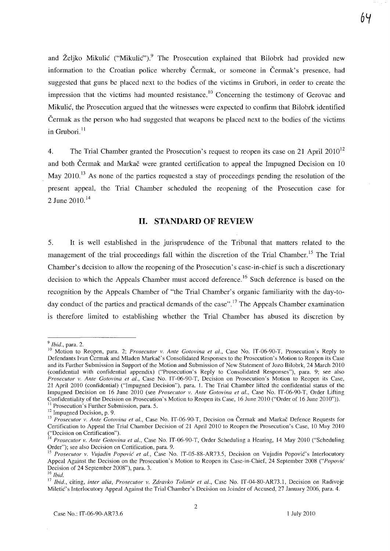and Željko Mikulić ("Mikulić").<sup>9</sup> The Prosecution explained that Bilobrk had provided new information to the Croatian police whereby Cermak, or someone in Cermak's presence, had suggested that guns be placed next to the bodies of the victims in Grubori, in order to create the impression that the victims had mounted resistance.<sup>10</sup> Concerning the testimony of Gerovac and Mikulic, the Prosecution argued that the witnesses were expected to confirm that Bilobrk identified Cermak as the person who had suggested that weapons be placed next to the bodies of the victims in Grubori. $11$ 

4. The Trial Chamber granted the Prosecution's request to reopen its case on 21 April  $2010^{12}$ and both Čermak and Markač were granted certification to appeal the Impugned Decision on 10 May 2010.<sup>13</sup> As none of the parties requested a stay of proceedings pending the resolution of the present appeal, the Trial Chamber scheduled the reopening of the Prosecution case for 2 June 2010.<sup>14</sup>

# **11. STANDARD OF REVIEW**

5. It is well established in the jurisprudence of the Tribunal that matters related to the management of the trial proceedings fall within the discretion of the Trial Chamber.<sup>15</sup> The Trial Chamber's decision to allow the reopening of the Prosecution's case-in-chief is such a discretionary decision to which the Appeals Chamber must accord deference.<sup>16</sup> Such deference is based on the recognition by the Appeals Chamber of "the Trial Chamber's organic familiarity with the day-today conduct of the parties and practical demands of the case".<sup>17</sup> The Appeals Chamber examination is therefore limited to establishing whether the Trial Chamber has abused its discretion by

*<sup>9</sup> Ibid.,* para. 2.

<sup>&</sup>lt;sup>10</sup> Motion to Reopen, para. 2; *Prosecutor v. Ante Gotovina et al.*, Case No. IT-06-90-T, Prosecution's Reply to Defendants Ivan Cerrnak and Mladen Markac's Consolidated Responses to the Prosecution's Motion to Reopen its Case and its Further Submission in Support of the Motion and Submission of New Statement of Jozo Bilobrk, 24 March 2010 (confidential with confidential appendix) ("Prosecution's Reply to Consolidated Responses"), para. 9; see also *Prosecutor v. Ante Gotovina et aI.,* Case No. IT-06-90-T, Decision on Prosecution's Motion to Reopen its Case, 21 April 2010 (confidential) ("Impugned Decision"), para. I. The Trial Chamber lifted the confidential status of the Impugned Decision on 16 June 2010 (see *Prosecutor v. Ante Gotovina et al.*, Case No. IT-06-90-T, Order Lifting Confidentiality of the Decision on Prosecution's Motion to Reopen its Case, 16 June 2010 ("Order of 16 June 2010")). <sup>11</sup> Prosecution's Further Submission, para. 5.

 $12$  Impugned Decision, p. 9.

<sup>&</sup>lt;sup>13</sup> Prosecutor v. Ante Gotovina et al., Case No. IT-06-90-T, Decision on Cermak and Markac Defence Requests for Certification to Appeal the Trial Chamber Decision of 21 April 2010 to Reopen the Prosecution's Case, 10 May 2010 ("Decision on Certification").

<sup>14</sup>*Prosecutor v. Ante Gotovina et al.,* Case No. IT-06-90-T, Order Scheduling a Hearing, 14 May 2010 ("Scheduling Order"); see also Decision on Certification, para. 9.

<sup>&</sup>lt;sup>15</sup> Prosecutor v. Vujadin Popović et al., Case No. IT-05-88-AR73.5, Decision on Vujadin Popović's Interlocutory Appeal Against the Decision on the Prosecution's Motion to Reopen its Case-in-Chief, 24 September 2008 *("Popovic*  Decision of 24 September 2008"), para. 3.

<sup>16</sup>*Ibid.* 

<sup>17</sup>*Ibid.,* citing, *inter alia, Prosecutor v. Zdravko Tolimir et aI.,* Case No. IT-04-80-AR73.1, Decision on Radivoje Miletic's Interlocutory Appeal Against the Trial Chamber's Decision on Joinder of Accused, 27 January 2006, para. 4.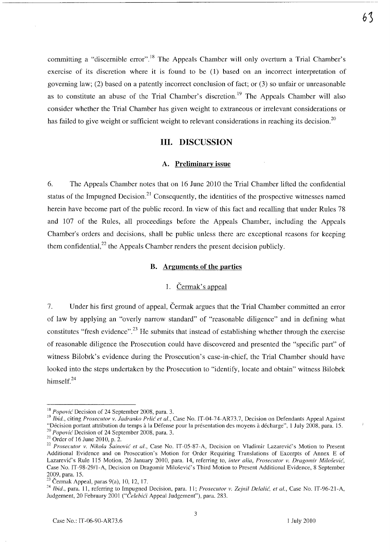committing a "discernible error".<sup>18</sup> The Appeals Chamber will only overturn a Trial Chamber's exercise of its discretion where it is found to be (1) based on an incorrect interpretation of governing law; (2) based on a patently incorrect conclusion of fact; or (3) so unfair or unreasonable as to constitute an abuse of the Trial Chamber's discretion.<sup>19</sup> The Appeals Chamber will also consider whether the Trial Chamber has given weight to extraneous or irrelevant considerations or has failed to give weight or sufficient weight to relevant considerations in reaching its decision.<sup>20</sup>

## **Ill. DISCUSSION**

#### **A. Preliminary issue**

6. The Appeals Chamber notes that on 16 June 2010 the Trial Chamber lifted the confidential status of the Impugned Decision.<sup>21</sup> Consequently, the identities of the prospective witnesses named herein have become part of the public record. **In** view of this fact and recalling that under Rules 78 and 107 of the Rules, all proceedings before the Appeals Chamber, including the Appeals Chamber's orders and decisions, shall be public unless there are exceptional reasons for keeping them confidential, $^{22}$  the Appeals Chamber renders the present decision publicly.

### **B. Arguments of the parties**

### 1. Cermak's appeal

7. Under his first ground of appeal, Cermak argues that the Trial Chamber committed an error of law by applying an "overly narrow standard" of "reasonable diligence" and in defining what constitutes "fresh evidence".<sup>23</sup> He submits that instead of establishing whether through the exercise of reasonable diligence the Prosecution could have discovered and presented the "specific part" of witness Bilobrk's evidence during the Prosecution's case-in-chief, the Trial Chamber should have looked into the steps undertaken by the Prosecution to "identify, locate and obtain" witness Bilobrk himself.<sup>24</sup>

<sup>18</sup>*Popovic* Decision of 24 September 2008, para. 3.

<sup>&</sup>lt;sup>19</sup> Ibid., citing *Prosecutor v. Jadranko Prlić et al.*, Case No. IT-04-74-AR73.7, Decision on Defendants Appeal Against "Décision portant attribution du temps à la Défense pour la présentation des moyens à décharge", 1 July 2008, para. 15. *20 Popovic* Decision of 24 September 2008, para. 3.

 $21$  Order of 16 June 2010, p. 2.

<sup>&</sup>lt;sup>22</sup> Prosecutor v. Nikola Šainović et al., Case No. IT-05-87-A, Decision on Vladimir Lazarević's Motion to Present Additional Evidence and on Prosecution's Motion for Order Requiring Translations of Excerpts of Annex E of Lazarevic's Rule 115 Motion, 26 January 2010, para. 14, referring to, *inter alia, Prosecutor v. Dragomir Milo.fevic,*  Case No. IT-98-29/l-A, Decision on Dragomir Milosevic's Third Motion to Present Additional Evidence, 8 September 2009, para. 15.

 $23$  Čermak Appeal, paras 9(a), 10, 12, 17.

<sup>&</sup>lt;sup>24</sup> Ibid., para. 11, referring to Impugned Decision, para. 11; *Prosecutor v. Zejnil Delalić, et al.*, Case No. IT-96-21-A, Judgement, 20 February 2001 *("Celebici* Appeal Judgement"), para. 283.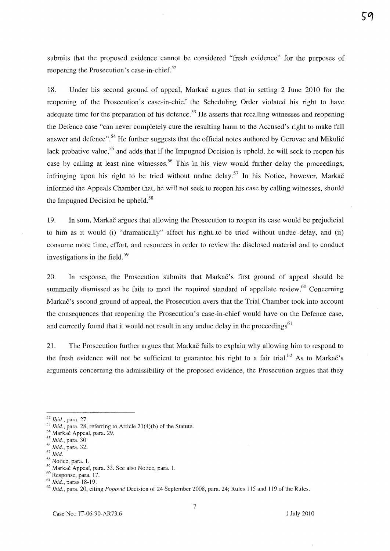submits that the proposed evidence cannot be considered "fresh evidence" for the purposes of reopening the Prosecution's case-in-chief. $52$ 

18. Under his second ground of appeal, Markac argues that in setting 2 June 2010 for the reopening of the Prosecution's case-in-chief the Scheduling Order violated his right to have adequate time for the preparation of his defence.<sup>53</sup> He asserts that recalling witnesses and reopening the Defence case "can never completely cure the resulting harm to the Accused's right to make full answer and defence".<sup>54</sup> He further suggests that the official notes authored by Gerovac and Mikulić lack probative value,<sup>55</sup> and adds that if the Impugned Decision is upheld, he will seek to reopen his case by calling at least nine witnesses.<sup>56</sup> This in his view would further delay the proceedings, infringing upon his right to be tried without undue delay.<sup>57</sup> In his Notice, however, Markac informed the Appeals Chamber that, he will not seek to reopen his case by calling witnesses, should the Impugned Decision be upheld.<sup>58</sup>

19. In sum, Markac argues that allowing the Prosecution to reopen its case would be prejudicial to him as it would (i) "dramatically" affect his right to be tried without undue delay, and (ii) consume more time, effort, and resources in order to review the disclosed material and to conduct investigations in the field. 59

20. In response, the Prosecution submits that Markac's first ground of appeal should be summarily dismissed as he fails to meet the required standard of appellate review. $60$  Concerning Markac's second ground of appeal, the Prosecution avers that the Trial Chamber took into account the consequences that reopening the Prosecution's case-in-chief would have on the Defence case, and correctly found that it would not result in any undue delay in the proceedings<sup>61</sup>

21. The Prosecution further argues that Markac fails to explain why allowing him to respond to the fresh evidence will not be sufficient to guarantee his right to a fair trial.<sup>62</sup> As to Markac's arguments concerning the admissibility of the proposed evidence, the Prosecution argues that they

ςη

*<sup>52</sup> Ibid.,* para. 27.

*<sup>53</sup> Ibid.,* para. 28, referring to Article 21 (4)(b) of the Statute.

<sup>54</sup> Markac Appeal, para. 29.

*<sup>55</sup> Ibid.,* para. 30

*<sup>56</sup> Ibid.,* para. 32.

*<sup>57</sup> Ibid.* 

<sup>58</sup> Notice, para. I.

<sup>59</sup> Markac Appeal, para. 33. See also Notice, para. I.

<sup>60</sup> Response, para. 17.

<sup>61</sup>*Ibid.,* paras 18-19.

*<sup>62</sup> Ibid.,* para. 20, citing *Popovic* Decision of 24 September 2008, para. 24; Rules 115 and 119 of the Rules.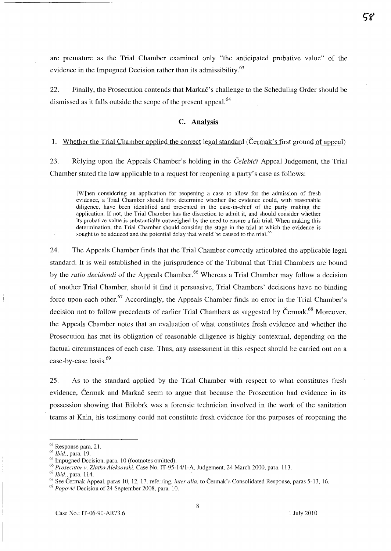are premature as the Trial Chamber examined only "the anticipated probative value" of the evidence in the Impugned Decision rather than its admissibility.<sup>63</sup>

22. Finally, the Prosecution contends that Markac's challenge to the Scheduling Order should be dismissed as it falls outside the scope of the present appeal.<sup>64</sup>

#### C. **Analysis**

#### 1. Whether the Trial Chamber applied the correct legal standard (Cermak's first ground of appeal)

23. Relying upon the Appeals Chamber's holding in the *Celebici Appeal Judgement*, the Trial Chamber stated the law applicable to a request for reopening a party's case as follows:

[Wjhen considering an application for reopening a case to allow for the admission of fresh evidence, a Trial Chamber should first determine whether the evidence could, with reasonable diligence, have been identified and presented in the case-in-chief of the party making the application. If not, the Trial Chamber has the discretion to admit it, and should consider whether its probative value is substantially outweighed by the need to ensure a fair trial. When making this determination, the Trial Chamber should consider the stage in the trial at which the evidence is sought to be adduced and the potential delay that would be caused to the trial.<sup>65</sup>

24. The Appeals Chamber finds that the Trial Chamber correctly articulated the applicable legal standard. **It** is well established in the jurisprudence of the Tribunal that Trial Chambers are bound by the *ratio decidendi* of the Appeals Chamber. 66 Whereas a Trial Chamber may follow a decision of another Trial Chamber, should it find it persuasive, Trial Chambers' decisions have no binding force upon each other.<sup>67</sup> Accordingly, the Appeals Chamber finds no error in the Trial Chamber's decision not to follow precedents of earlier Trial Chambers as suggested by Čermak.<sup>68</sup> Moreover, the Appeals Chamber notes that an evaluation of what constitutes fresh evidence and whether the Prosecution has met its obligation of reasonable diligence is highly contextual, depending on the factual circumstances of each case. Thus, any assessment in this respect should be carried out on a case-by-case basis.<sup>69</sup>

25. As to the standard applied by the Trial Chamber with respect to what constitutes fresh evidence, Cermak and Markac seem to argue that because the Prosecution had evidence in its possession showing that Bilobrk was a forensic technician involved in the work of the sanitation teams at Knin, his testimony could not constitute fresh evidence for the purposes of reopening the

<sup>63</sup> Response para. 2 J.

*<sup>64</sup> Ibid.,* para. 19.

<sup>&</sup>lt;sup>65</sup> Impugned Decision, para. 10 (footnotes omitted).

*<sup>66</sup> Proseclltor* v. *Zlatko Aleksovski,* Case No. IT -95-14/l-A, Judgement, 24 March 2000, para. 113.

<sup>67</sup>*Ibid.,* para. 114.

<sup>&</sup>lt;sup>68</sup> See Čermak Appeal, paras 10, 12, 17, referring, *inter alia*, to Čermak's Consolidated Response, paras 5-13, 16.

<sup>&</sup>lt;sup>69</sup> Popović Decision of 24 September 2008, para. 10.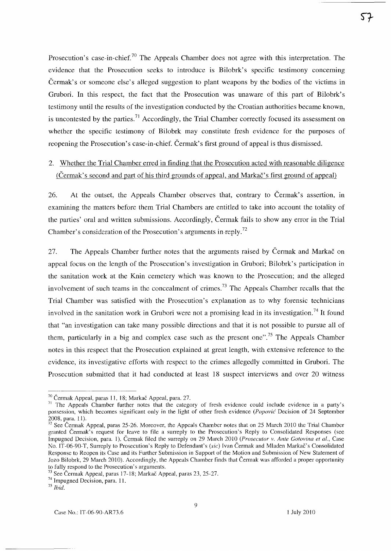Prosecution's case-in-chief.<sup>70</sup> The Appeals Chamber does not agree with this interpretation. The evidence that the Prosecution seeks to introduce is Bilobrk's specific testimony concerning Cermak's or someone else's alleged suggestion to plant weapons by the bodies of the victims in Grubori. **In** this respect, the fact that the Prosecution was unaware of this part of Bilobrk's testimony until the results of the investigation conducted by the Croatian authorities became known, is uncontested by the parties.<sup>71</sup> Accordingly, the Trial Chamber correctly focused its assessment on whether the specific testimony of Bilobrk may constitute fresh evidence for the purposes of reopening the Prosecution's case-in-chief. Cermak's first ground of appeal is thus dismissed.

# 2. Whether the Trial Chamber erred in finding that the Prosecution acted with reasonable diligence (Cermak's second and part of his third grounds of appeal, and Markac's first ground of appeal)

26. At the outset, the Appeals Chamber observes that, contrary to Čermak's assertion, in examining the matters before them Trial Chambers are entitled to take into account the totality of the parties' oral and written submissions. Accordingly, Cermak fails to show any error in the Trial Chamber's consideration of the Prosecution's arguments in-reply.72

27. The Appeals Chamber further notes that the arguments raised by Cermak and Markac on appeal focus on the length of the Prosecution's investigation in Grubori; Bilobrk's participation in the sanitation work at the Knin cemetery which was known to the Prosecution; and the alleged involvement of such teams in the concealment of crimes.<sup>73</sup> The Appeals Chamber recalls that the Trial Chamber was satisfied with the Prosecution's explanation as to why forensic technicians involved in the sanitation work in Grubori were not a promising lead in its investigation.<sup>74</sup> It found that "an investigation can take many possible directions and that it is not possible to pursue all of them, particularly in a big and complex case such as the present one".<sup>75</sup> The Appeals Chamber notes in this respect that the Prosecution explained at great length, with extensive reference to the evidence, its investigative efforts with respect to the crimes allegedly committed in Grubori. The Prosecution submitted that it had conducted at least 18 suspect interviews and over 20 witness

<sup>70</sup> Cermak Appeal, paras 11, 18; Markac Appeal, para. 27.

<sup>&</sup>lt;sup>71</sup> The Appeals Chamber further notes that the category of fresh evidence could include evidence in a party's possession, which becomes significant only in the light of other fresh evidence *(Popovic* Decision of 24 September 2008, para. 11).

 $72$  See Cermak Appeal, paras 25-26. Moreover, the Appeals Chamber notes that on 25 March 2010 the Trial Chamber granted Cermak's request for leave to file a surreply to the Prosecution's Reply to Consolidated Responses (see Impugned Decision, para. I). Cermak filed the surreply on 29 March 2010 *(Prosecutor v. Ante Gotovina et ai.,* Case No. IT-06-90-T, Surreply to Prosecution's Reply to Defendant's *(sic)* Ivan Cermak and Mladen Markac's Consolidated Response to Reopen its Case and its Further Submission in Support of the Motion and Submission of New Statement of Jozo Bilobrk, 29 March 2(10). Accordingly, the Appeals Chamber finds that Cermak was afforded a proper opportunity to fully respond to the Prosecution's arguments.

<sup>&</sup>lt;sup>73</sup> See Čermak Appeal, paras 17-18; Markač Appeal, paras 23, 25-27.

<sup>74</sup> Impugned Decision, para. 11.

*<sup>75</sup> Ibid.*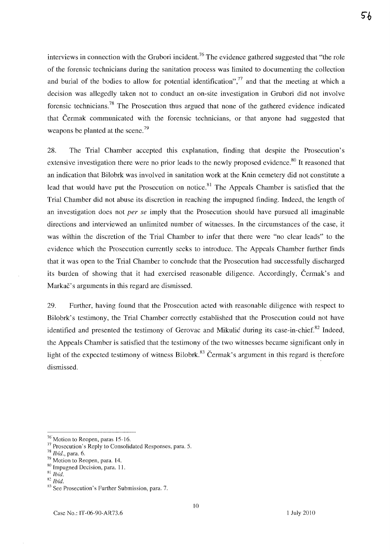interviews in connection with the Grubori incident.<sup>76</sup> The evidence gathered suggested that "the role of the forensic technicians during the sanitation process was limited to documenting the collection and burial of the bodies to allow for potential identification", $77$  and that the meeting at which a decision was allegedly taken not to conduct an on-site investigation in Grubori did not involve forensic technicians.78 The Prosecution thus argued that none of the gathered evidence indicated that Cermak communicated with the forensic technicians, or that anyone had suggested that weapons be planted at the scene.<sup>79</sup>

28. The Trial Chamber accepted this explanation, finding that despite the Prosecution's extensive investigation there were no prior leads to the newly proposed evidence.<sup>80</sup> It reasoned that an indication that Bilobrk was involved in sanitation work at the Knin cemetery did not constitute a lead that would have put the Prosecution on notice.<sup>81</sup> The Appeals Chamber is satisfied that the Trial Chamber did not abuse its discretion in reaching the impugned finding. Indeed, the length of an investigation does not *per se* imply that the Prosecution should have pursued all imaginable directions and interviewed an unlimited number of witnesses. In the circumstances of the case, it was within the discretion of the Trial Chamber to infer that there were "no clear leads" to the evidence which the Prosecution currently seeks to introduce. The Appeals Chamber further finds that it was open to the Trial Chamber to conclude that the Prosecution had successfully discharged its burden of showing that it had exercised reasonable diligence. Accordingly, Cermak's and Markac's arguments in this regard are dismissed.

29. Further, having found that the Prosecution acted with reasonable diligence with respect to Bilobrk's testimony, the Trial Chamber correctly established that the Prosecution could not have identified and presented the testimony of Gerovac and Mikulic during its case-in-chief. $82$  Indeed, the Appeals Chamber is satisfied that the testimony of the two witnesses became significant only in light of the expected testimony of witness Bilobrk.<sup>83</sup> Cermak's argument in this regard is therefore dismissed.

5հ

<sup>&</sup>lt;sup>76</sup> Motion to Reopen, paras 15-16.

<sup>&</sup>lt;sup>77</sup> Prosecution's Reply to Consolidated Responses, para. 5.

*<sup>78</sup> Ibid.,* para. 6.

 $79$  Motion to Reopen, para. 14.

<sup>80 [</sup>mpugned Decision, para. 11.

Sl *Ibid.* 

S2 *Ibid.* 

<sup>83</sup> See Prosecution's Further Submission, para. 7.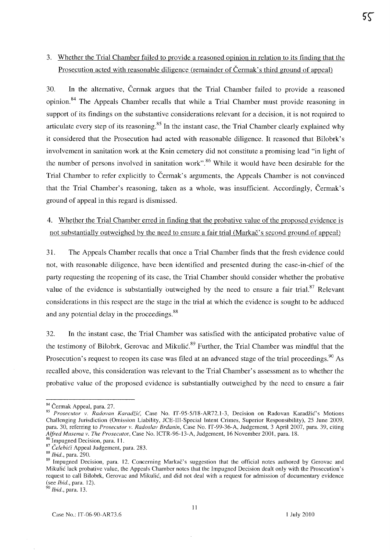# 3. Whether the Trial Chamber failed to provide a reasoned opinion in relation to its finding that the Prosecution acted with reasonable diligence (remainder of Cermak's third ground of appeal)

30. **In** the alternative, Cermak argues that the Trial Chamber failed to provide a reasoned opinion.<sup>84</sup> The Appeals Chamber recalls that while a Trial Chamber must provide reasoning in support of its findings on the substantive considerations relevant for a decision, it is not required to articulate every step of its reasoning. <sup>85</sup>**In** the instant case, the Trial Chamber clearly explained why it considered that the Prosecution had acted with reasonable diligence. **It** reasoned that Bilobrk's involvement in sanitation work at the Knin cemetery did not constitute a promising lead "in light of the number of persons involved in sanitation work".<sup>86</sup> While it would have been desirable for the Trial Chamber to refer explicitly to Čermak's arguments, the Appeals Chamber is not convinced that the Trial Chamber's reasoning, taken as a whole, was insufficient. Accordingly, Cermak's ground of appeal in this regard is dismissed.

# 4. Whether the Trial Chamber erred in finding that the probative value of the proposed evidence is not substantially outweighed by the need to ensure a fair trial (Markac's second ground of appeal)

31. The Appeals Chamber recalls that once a Trial Chamber finds that the fresh evidence could not, with reasonable diligence, have been identified and presented during the case-in-chief of the party requesting the reopening of its case, the Trial Chamber should consider whether the probative value of the evidence is substantially outweighed by the need to ensure a fair trial. $87$  Relevant considerations in this respect are the stage in the trial at which the evidence is sought to be adduced and any potential delay in the proceedings.<sup>88</sup>

32. **In** the instant case, the Trial Chamber was satisfied with the anticipated probative value of the testimony of Bilobrk, Gerovac and Mikulić.<sup>89</sup> Further, the Trial Chamber was mindful that the Prosecution's request to reopen its case was filed at an advanced stage of the trial proceedings.<sup>90</sup> As recalled above, this consideration was relevant to the Trial Chamber's assessment as to whether the probative value of the proposed evidence is substantially outweighed by the need to ensure a fair

*90 Ibid.,* para. 13.

<sup>84</sup> Čermak Appeal, para. 27.

<sup>&</sup>lt;sup>85</sup> Prosecutor v. Radovan Karadžić, Case No. IT-95-5/18-AR72.1-3, Decision on Radovan Karadžić's Motions Challenging lurisdiction (Omission Liability, lCE-llI-Special Intent Crimes, Superior Responsibility), 25 June 2009, para. 30, referring to *Prosecutor* v. *Rados/av Brdanin,* Case No. IT-99-36-A, Judgement, 3 April 2007, para. 39, citing *A/fred MusenlQ v. The Prosecutor,* Case No. ICTR-96-l3-A, Judgement, 16 November 2001, para. 18.

<sup>&</sup>lt;sup>86</sup> Impugned Decision, para. 11. <sup>87</sup> Čelebići Appeal Judgement, para. 283.

<sup>88</sup>*Ibid.,* para. 290.

<sup>&</sup>lt;sup>89</sup> Impugned Decision, para. 12. Concerning Markač's suggestion that the official notes authored by Gerovac and Mikulic lack probative value, the Appeals Chamber notes that the Impugned Decision dealt only with the Prosecution's request to call Bilobrk, Gerovac and Mikulic, and did not deal with a request for admission of documentary evidence (see *Ihid.,* para. 12).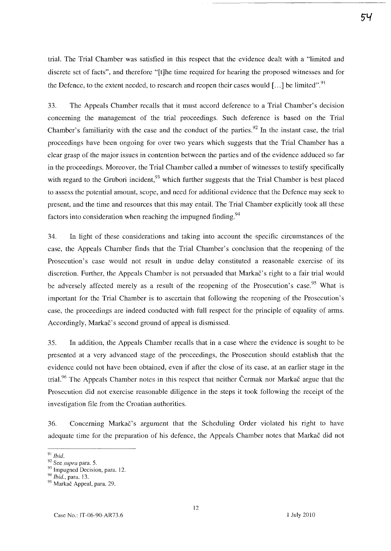trial. The Trial Chamber was satisfied in this respect that the evidence dealt with a "limited and discrete set of facts", and therefore "[t]he time required for hearing the proposed witnesses and for the Defence, to the extent needed, to research and reopen their cases would  $[...]$  be limited".<sup>91</sup>

33. The Appeals Chamber recalls that it must accord deference to a Trial Chamber's decision concerning the management of the trial proceedings. Such deference is based on the Trial Chamber's familiarity with the case and the conduct of the parties.<sup>92</sup> In the instant case, the trial proceedings have been ongoing for over two years which suggests that the Trial Chamber has a clear grasp of the major issues in contention between the parties and of the evidence adduced so far in the proceedings. Moreover, the Trial Chamber called a number of witnesses to testify specifically with regard to the Grubori incident,  $93$  which further suggests that the Trial Chamber is best placed to assess the potential amount, scope, and need for additional evidence that the Defence may seek to present, and the time and resources that this may entail. The Trial Chamber explicitly took all these factors into consideration when reaching the impugned finding. <sup>94</sup>

34. In light of these considerations and taking into account the specific circumstances of the case, the Appeals Chamber finds that the Trial Chamber's conclusion that the reopening of the Prosecution's case would not result in undue delay constituted a reasonable exercise of its discretion. Further, the Appeals Chamber is not persuaded that Markac's right to a fair trial would be adversely affected merely as a result of the reopening of the Prosecution's case.<sup>95</sup> What is important for the Trial Chamber is to ascertain that following the reopening of the Prosecution's case, the proceedings are indeed conducted with full respect for the principle of equality of arms. Accordingly, Markac's second ground of appeal is dismissed.

35. In addition, the Appeals Chamber recalls that in a case where the evidence is sought to be presented at a very advanced stage of the proceedings, the Prosecution should establish that the evidence could not have been obtained, even if after the close of its case, at an earlier stage in the trial.<sup>96</sup> The Appeals Chamber notes-in this respect that neither Cermak nor Markac argue that the Prosecution did not exercise reasonable diligence in the steps it took following the receipt of the investigation file from the Croatian authorities.

36. Concerning Markac's argument that the Scheduling Order violated his right to have adequate time for the preparation of his defence, the Appeals Chamber notes that Markac did not

<sup>91</sup>*Ibid.* 

<sup>92</sup> See *supra* para. 5.

 $93$  Impugned Decision, para. 12.

*<sup>94</sup> Ibid.,* para. 13.

<sup>95</sup> Markač Appeal, para. 29.